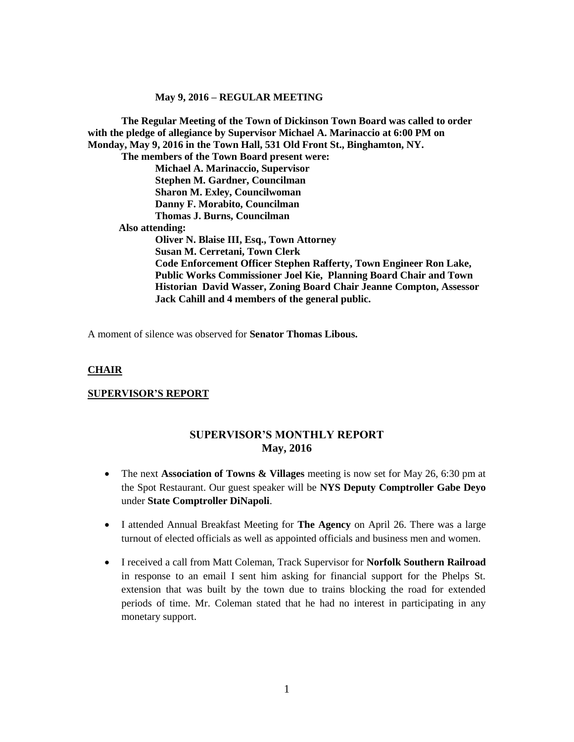**The Regular Meeting of the Town of Dickinson Town Board was called to order with the pledge of allegiance by Supervisor Michael A. Marinaccio at 6:00 PM on Monday, May 9, 2016 in the Town Hall, 531 Old Front St., Binghamton, NY. The members of the Town Board present were: Michael A. Marinaccio, Supervisor Stephen M. Gardner, Councilman Sharon M. Exley, Councilwoman Danny F. Morabito, Councilman Thomas J. Burns, Councilman Also attending: Oliver N. Blaise III, Esq., Town Attorney Susan M. Cerretani, Town Clerk Code Enforcement Officer Stephen Rafferty, Town Engineer Ron Lake, Public Works Commissioner Joel Kie, Planning Board Chair and Town Historian David Wasser, Zoning Board Chair Jeanne Compton, Assessor Jack Cahill and 4 members of the general public.**

A moment of silence was observed for **Senator Thomas Libous.** 

#### **CHAIR**

#### **SUPERVISOR'S REPORT**

## **SUPERVISOR'S MONTHLY REPORT May, 2016**

- The next **Association of Towns & Villages** meeting is now set for May 26, 6:30 pm at the Spot Restaurant. Our guest speaker will be **NYS Deputy Comptroller Gabe Deyo** under **State Comptroller DiNapoli**.
- I attended Annual Breakfast Meeting for **The Agency** on April 26. There was a large turnout of elected officials as well as appointed officials and business men and women.
- I received a call from Matt Coleman, Track Supervisor for **Norfolk Southern Railroad** in response to an email I sent him asking for financial support for the Phelps St. extension that was built by the town due to trains blocking the road for extended periods of time. Mr. Coleman stated that he had no interest in participating in any monetary support.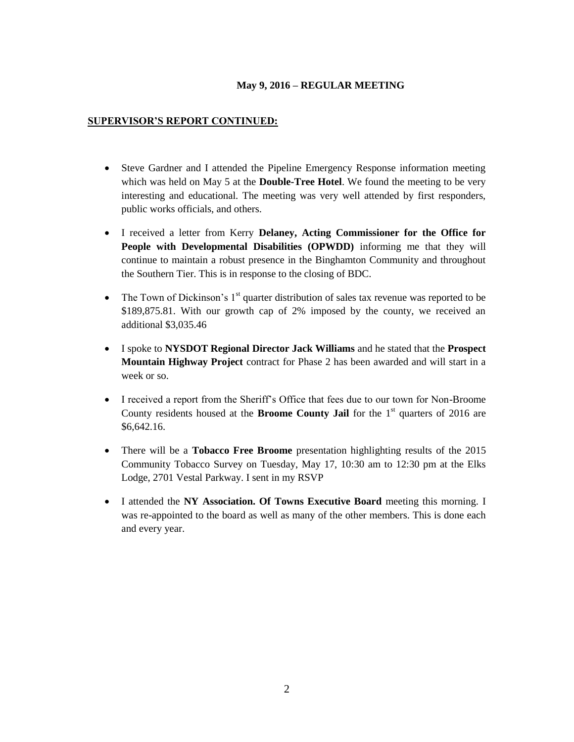## **SUPERVISOR'S REPORT CONTINUED:**

- Steve Gardner and I attended the Pipeline Emergency Response information meeting which was held on May 5 at the **Double-Tree Hotel**. We found the meeting to be very interesting and educational. The meeting was very well attended by first responders, public works officials, and others.
- I received a letter from Kerry **Delaney, Acting Commissioner for the Office for People with Developmental Disabilities (OPWDD)** informing me that they will continue to maintain a robust presence in the Binghamton Community and throughout the Southern Tier. This is in response to the closing of BDC.
- The Town of Dickinson's  $1<sup>st</sup>$  quarter distribution of sales tax revenue was reported to be \$189,875.81. With our growth cap of 2% imposed by the county, we received an additional \$3,035.46
- I spoke to **NYSDOT Regional Director Jack Williams** and he stated that the **Prospect Mountain Highway Project** contract for Phase 2 has been awarded and will start in a week or so.
- I received a report from the Sheriff's Office that fees due to our town for Non-Broome County residents housed at the **Broome County Jail** for the  $1<sup>st</sup>$  quarters of 2016 are \$6,642.16.
- There will be a **Tobacco Free Broome** presentation highlighting results of the 2015 Community Tobacco Survey on Tuesday, May 17, 10:30 am to 12:30 pm at the Elks Lodge, 2701 Vestal Parkway. I sent in my RSVP
- I attended the **NY Association. Of Towns Executive Board** meeting this morning. I was re-appointed to the board as well as many of the other members. This is done each and every year.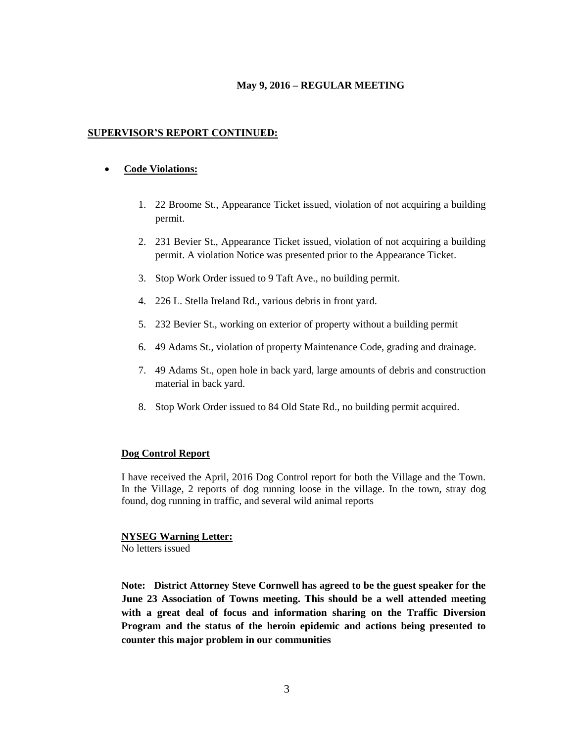### **SUPERVISOR'S REPORT CONTINUED:**

### **Code Violations:**

- 1. 22 Broome St., Appearance Ticket issued, violation of not acquiring a building permit.
- 2. 231 Bevier St., Appearance Ticket issued, violation of not acquiring a building permit. A violation Notice was presented prior to the Appearance Ticket.
- 3. Stop Work Order issued to 9 Taft Ave., no building permit.
- 4. 226 L. Stella Ireland Rd., various debris in front yard.
- 5. 232 Bevier St., working on exterior of property without a building permit
- 6. 49 Adams St., violation of property Maintenance Code, grading and drainage.
- 7. 49 Adams St., open hole in back yard, large amounts of debris and construction material in back yard.
- 8. Stop Work Order issued to 84 Old State Rd., no building permit acquired.

### **Dog Control Report**

I have received the April, 2016 Dog Control report for both the Village and the Town. In the Village, 2 reports of dog running loose in the village. In the town, stray dog found, dog running in traffic, and several wild animal reports

### **NYSEG Warning Letter:**

No letters issued

**Note: District Attorney Steve Cornwell has agreed to be the guest speaker for the June 23 Association of Towns meeting. This should be a well attended meeting with a great deal of focus and information sharing on the Traffic Diversion Program and the status of the heroin epidemic and actions being presented to counter this major problem in our communities**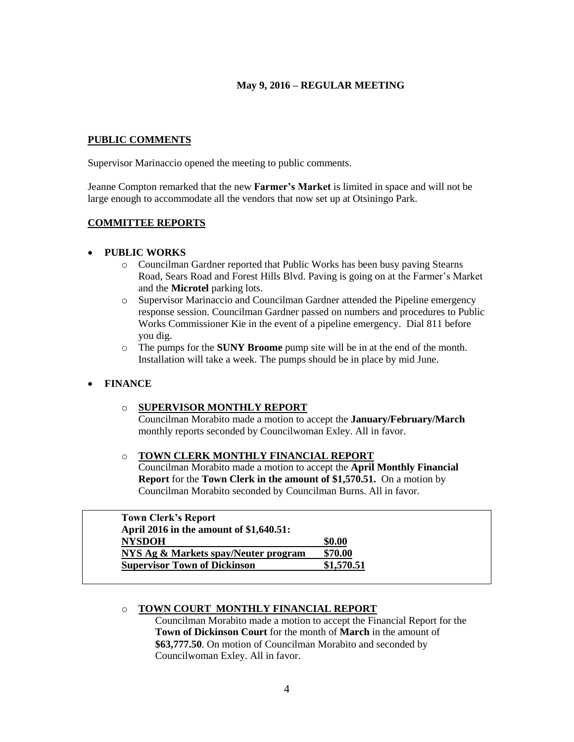#### **PUBLIC COMMENTS**

Supervisor Marinaccio opened the meeting to public comments.

Jeanne Compton remarked that the new **Farmer's Market** is limited in space and will not be large enough to accommodate all the vendors that now set up at Otsiningo Park.

#### **COMMITTEE REPORTS**

#### **PUBLIC WORKS**

- o Councilman Gardner reported that Public Works has been busy paving Stearns Road, Sears Road and Forest Hills Blvd. Paving is going on at the Farmer's Market and the **Microtel** parking lots.
- o Supervisor Marinaccio and Councilman Gardner attended the Pipeline emergency response session. Councilman Gardner passed on numbers and procedures to Public Works Commissioner Kie in the event of a pipeline emergency. Dial 811 before you dig.
- o The pumps for the **SUNY Broome** pump site will be in at the end of the month. Installation will take a week. The pumps should be in place by mid June.

### **FINANCE**

### o **SUPERVISOR MONTHLY REPORT**

Councilman Morabito made a motion to accept the **January/February/March** monthly reports seconded by Councilwoman Exley. All in favor.

## o **TOWN CLERK MONTHLY FINANCIAL REPORT**

Councilman Morabito made a motion to accept the **April Monthly Financial Report** for the **Town Clerk in the amount of \$1,570.51.** On a motion by Councilman Morabito seconded by Councilman Burns. All in favor.

| <b>Town Clerk's Report</b>              |            |
|-----------------------------------------|------------|
| April 2016 in the amount of \$1,640.51: |            |
| <b>NYSDOH</b>                           | \$0.00     |
| NYS Ag & Markets spay/Neuter program    | \$70.00    |
| <b>Supervisor Town of Dickinson</b>     | \$1,570.51 |

### o **TOWN COURT MONTHLY FINANCIAL REPORT**

Councilman Morabito made a motion to accept the Financial Report for the **Town of Dickinson Court** for the month of **March** in the amount of **\$63,777.50**. On motion of Councilman Morabito and seconded by Councilwoman Exley. All in favor.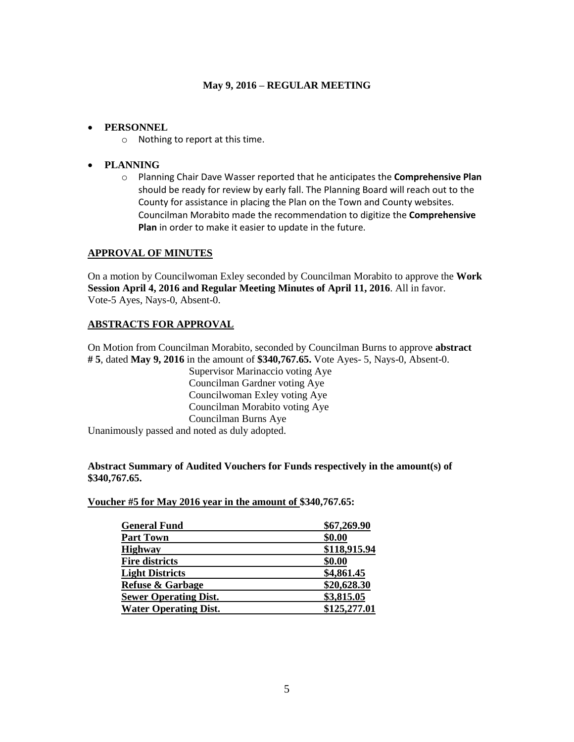### **PERSONNEL**

o Nothing to report at this time.

## **PLANNING**

o Planning Chair Dave Wasser reported that he anticipates the **Comprehensive Plan** should be ready for review by early fall. The Planning Board will reach out to the County for assistance in placing the Plan on the Town and County websites. Councilman Morabito made the recommendation to digitize the **Comprehensive Plan** in order to make it easier to update in the future.

### **APPROVAL OF MINUTES**

On a motion by Councilwoman Exley seconded by Councilman Morabito to approve the **Work Session April 4, 2016 and Regular Meeting Minutes of April 11, 2016**. All in favor. Vote-5 Ayes, Nays-0, Absent-0.

## **ABSTRACTS FOR APPROVAL**

On Motion from Councilman Morabito, seconded by Councilman Burns to approve **abstract # 5**, dated **May 9, 2016** in the amount of **\$340,767.65.** Vote Ayes- 5, Nays-0, Absent-0.

> Supervisor Marinaccio voting Aye Councilman Gardner voting Aye Councilwoman Exley voting Aye Councilman Morabito voting Aye Councilman Burns Aye

Unanimously passed and noted as duly adopted.

### **Abstract Summary of Audited Vouchers for Funds respectively in the amount(s) of \$340,767.65.**

**Voucher #5 for May 2016 year in the amount of \$340,767.65:** 

| <b>General Fund</b>          | \$67,269.90  |  |
|------------------------------|--------------|--|
| <b>Part Town</b>             | \$0.00       |  |
| <b>Highway</b>               | \$118,915.94 |  |
| <b>Fire districts</b>        | \$0.00       |  |
| <b>Light Districts</b>       | \$4,861.45   |  |
| <b>Refuse &amp; Garbage</b>  | \$20,628.30  |  |
| <b>Sewer Operating Dist.</b> | \$3,815.05   |  |
| <b>Water Operating Dist.</b> | \$125,277.01 |  |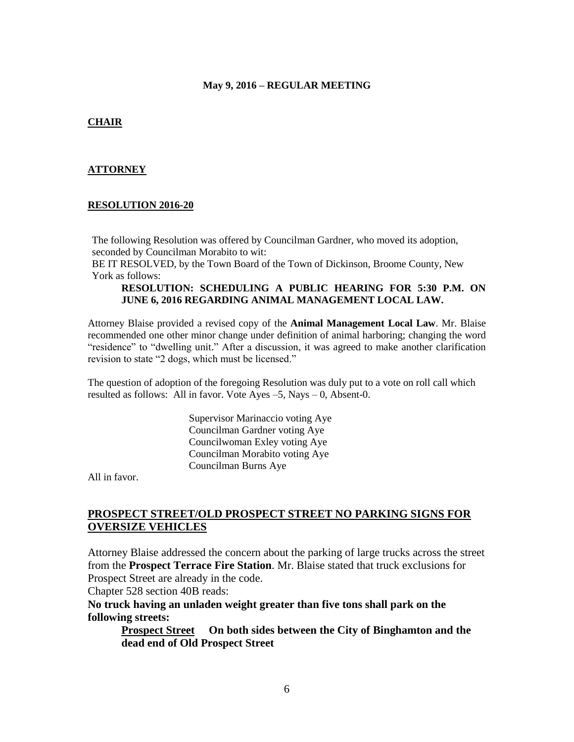#### **CHAIR**

#### **ATTORNEY**

#### **RESOLUTION 2016-20**

The following Resolution was offered by Councilman Gardner, who moved its adoption, seconded by Councilman Morabito to wit:

BE IT RESOLVED, by the Town Board of the Town of Dickinson, Broome County, New York as follows:

#### **RESOLUTION: SCHEDULING A PUBLIC HEARING FOR 5:30 P.M. ON JUNE 6, 2016 REGARDING ANIMAL MANAGEMENT LOCAL LAW.**

Attorney Blaise provided a revised copy of the **Animal Management Local Law**. Mr. Blaise recommended one other minor change under definition of animal harboring; changing the word "residence" to "dwelling unit." After a discussion, it was agreed to make another clarification revision to state "2 dogs, which must be licensed."

The question of adoption of the foregoing Resolution was duly put to a vote on roll call which resulted as follows: All in favor. Vote Ayes –5, Nays – 0, Absent-0.

> Supervisor Marinaccio voting Aye Councilman Gardner voting Aye Councilwoman Exley voting Aye Councilman Morabito voting Aye Councilman Burns Aye

All in favor.

## **PROSPECT STREET/OLD PROSPECT STREET NO PARKING SIGNS FOR OVERSIZE VEHICLES**

Attorney Blaise addressed the concern about the parking of large trucks across the street from the **Prospect Terrace Fire Station**. Mr. Blaise stated that truck exclusions for Prospect Street are already in the code.

Chapter 528 section 40B reads:

**No truck having an unladen weight greater than five tons shall park on the following streets:**

**Prospect Street On both sides between the City of Binghamton and the dead end of Old Prospect Street**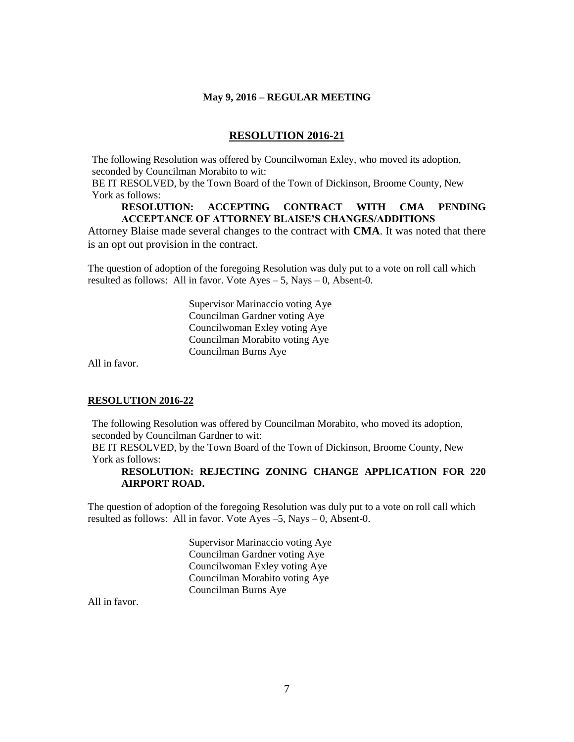#### **RESOLUTION 2016-21**

The following Resolution was offered by Councilwoman Exley, who moved its adoption, seconded by Councilman Morabito to wit:

BE IT RESOLVED, by the Town Board of the Town of Dickinson, Broome County, New York as follows:

#### **RESOLUTION: ACCEPTING CONTRACT WITH CMA PENDING ACCEPTANCE OF ATTORNEY BLAISE'S CHANGES/ADDITIONS**

Attorney Blaise made several changes to the contract with **CMA**. It was noted that there is an opt out provision in the contract.

The question of adoption of the foregoing Resolution was duly put to a vote on roll call which resulted as follows: All in favor. Vote  $Ayes - 5$ , Nays  $- 0$ , Absent-0.

> Supervisor Marinaccio voting Aye Councilman Gardner voting Aye Councilwoman Exley voting Aye Councilman Morabito voting Aye Councilman Burns Aye

All in favor.

#### **RESOLUTION 2016-22**

The following Resolution was offered by Councilman Morabito, who moved its adoption, seconded by Councilman Gardner to wit:

BE IT RESOLVED, by the Town Board of the Town of Dickinson, Broome County, New York as follows:

### **RESOLUTION: REJECTING ZONING CHANGE APPLICATION FOR 220 AIRPORT ROAD.**

The question of adoption of the foregoing Resolution was duly put to a vote on roll call which resulted as follows: All in favor. Vote Ayes –5, Nays – 0, Absent-0.

> Supervisor Marinaccio voting Aye Councilman Gardner voting Aye Councilwoman Exley voting Aye Councilman Morabito voting Aye Councilman Burns Aye

All in favor.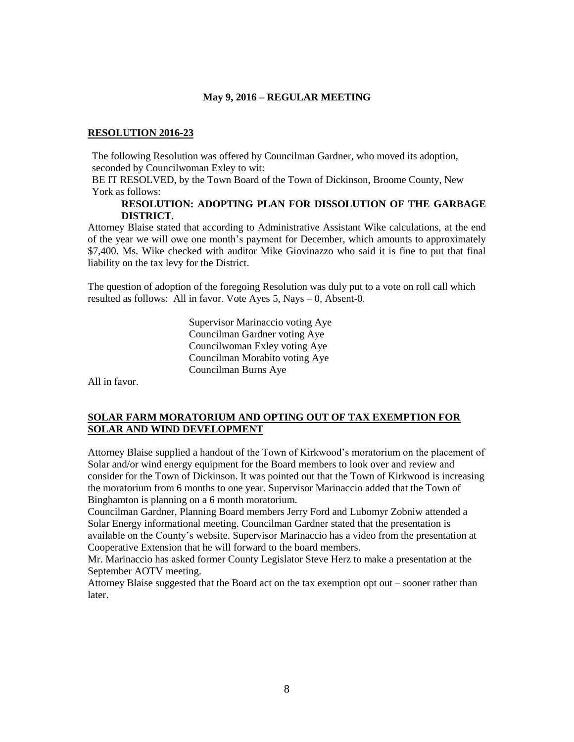#### **RESOLUTION 2016-23**

The following Resolution was offered by Councilman Gardner, who moved its adoption, seconded by Councilwoman Exley to wit:

BE IT RESOLVED, by the Town Board of the Town of Dickinson, Broome County, New York as follows:

#### **RESOLUTION: ADOPTING PLAN FOR DISSOLUTION OF THE GARBAGE DISTRICT.**

Attorney Blaise stated that according to Administrative Assistant Wike calculations, at the end of the year we will owe one month's payment for December, which amounts to approximately \$7,400. Ms. Wike checked with auditor Mike Giovinazzo who said it is fine to put that final liability on the tax levy for the District.

The question of adoption of the foregoing Resolution was duly put to a vote on roll call which resulted as follows: All in favor. Vote Ayes 5, Nays – 0, Absent-0.

> Supervisor Marinaccio voting Aye Councilman Gardner voting Aye Councilwoman Exley voting Aye Councilman Morabito voting Aye Councilman Burns Aye

All in favor.

### **SOLAR FARM MORATORIUM AND OPTING OUT OF TAX EXEMPTION FOR SOLAR AND WIND DEVELOPMENT**

Attorney Blaise supplied a handout of the Town of Kirkwood's moratorium on the placement of Solar and/or wind energy equipment for the Board members to look over and review and consider for the Town of Dickinson. It was pointed out that the Town of Kirkwood is increasing the moratorium from 6 months to one year. Supervisor Marinaccio added that the Town of Binghamton is planning on a 6 month moratorium.

Councilman Gardner, Planning Board members Jerry Ford and Lubomyr Zobniw attended a Solar Energy informational meeting. Councilman Gardner stated that the presentation is available on the County's website. Supervisor Marinaccio has a video from the presentation at Cooperative Extension that he will forward to the board members.

Mr. Marinaccio has asked former County Legislator Steve Herz to make a presentation at the September AOTV meeting.

Attorney Blaise suggested that the Board act on the tax exemption opt out – sooner rather than later.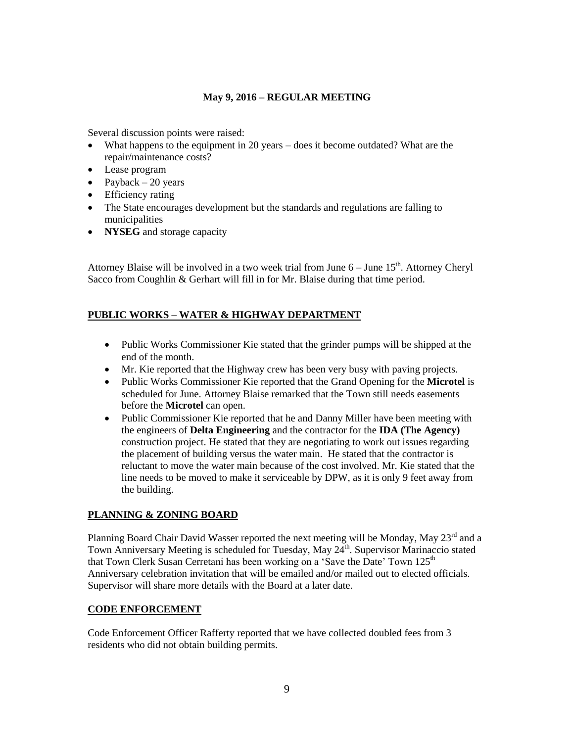Several discussion points were raised:

- What happens to the equipment in 20 years does it become outdated? What are the repair/maintenance costs?
- Lease program
- Payback 20 years
- Efficiency rating
- The State encourages development but the standards and regulations are falling to municipalities
- **NYSEG** and storage capacity

Attorney Blaise will be involved in a two week trial from June  $6 -$  June  $15<sup>th</sup>$ . Attorney Cheryl Sacco from Coughlin & Gerhart will fill in for Mr. Blaise during that time period.

# **PUBLIC WORKS – WATER & HIGHWAY DEPARTMENT**

- Public Works Commissioner Kie stated that the grinder pumps will be shipped at the end of the month.
- Mr. Kie reported that the Highway crew has been very busy with paving projects.
- Public Works Commissioner Kie reported that the Grand Opening for the **Microtel** is scheduled for June. Attorney Blaise remarked that the Town still needs easements before the **Microtel** can open.
- Public Commissioner Kie reported that he and Danny Miller have been meeting with the engineers of **Delta Engineering** and the contractor for the **IDA (The Agency)** construction project. He stated that they are negotiating to work out issues regarding the placement of building versus the water main. He stated that the contractor is reluctant to move the water main because of the cost involved. Mr. Kie stated that the line needs to be moved to make it serviceable by DPW, as it is only 9 feet away from the building.

# **PLANNING & ZONING BOARD**

Planning Board Chair David Wasser reported the next meeting will be Monday, May 23<sup>rd</sup> and a Town Anniversary Meeting is scheduled for Tuesday, May 24<sup>th</sup>. Supervisor Marinaccio stated that Town Clerk Susan Cerretani has been working on a 'Save the Date' Town  $125<sup>th</sup>$ Anniversary celebration invitation that will be emailed and/or mailed out to elected officials. Supervisor will share more details with the Board at a later date.

### **CODE ENFORCEMENT**

Code Enforcement Officer Rafferty reported that we have collected doubled fees from 3 residents who did not obtain building permits.